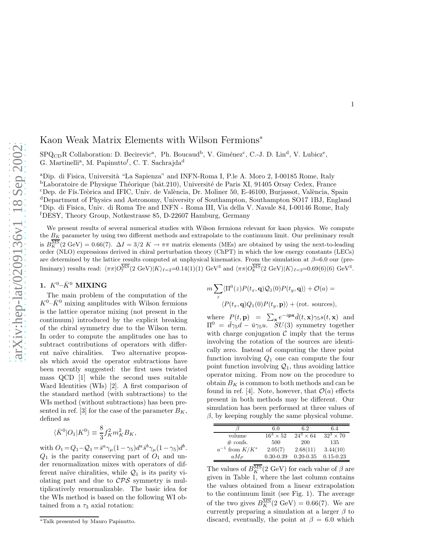## Kaon Weak Matrix Elements with Wilson Fermions<sup>∗</sup>

SPQ<sub>CD</sub>R Collaboration: D. Becirevic<sup>a</sup>, Ph. Boucaud<sup>b</sup>, V. Giménez<sup>c</sup>, C.-J. D. Lin<sup>d</sup>, V. Lubicz<sup>e</sup>, G. Martinelli<sup>a</sup>, M. Papinutto<sup>f</sup>, C. T. Sachrajda<sup>d</sup>

<sup>a</sup>Dip. di Fisica, Università "La Sapienza" and INFN-Roma I, P.le A. Moro 2, I-00185 Rome, Italy  $b$ Laboratoire de Physique Théorique (bât.210), Université de Paris XI, 91405 Orsay Cedex, France <sup>c</sup>Dep. de Fís.Teòrica and IFIC, Univ. de València, Dr. Moliner 50, E-46100, Burjassot, València, Spain <sup>d</sup>Department of Physics and Astronomy, University of Southampton, Southampton SO17 1BJ, England <sup>e</sup>Dip. di Fisica, Univ. di Roma Tre and INFN - Roma III, Via della V. Navale 84, I-00146 Rome, Italy <sup>f</sup>DESY, Theory Group, Notkestrasse 85, D-22607 Hamburg, Germany

We present results of several numerical studies with Wilson fermions relevant for kaon physics. We compute the  $B_K$  parameter by using two different methods and extrapolate to the continuum limit. Our preliminary result is  $B_K^{\overline{\text{MS}}}(2 \text{ GeV}) = 0.66(7)$ .  $\Delta I = 3/2$  K  $\rightarrow \pi\pi$  matrix elements (MEs) are obtained by using the next-to-leading order (NLO) expressions derived in chiral perturbation theory (ChPT) in which the low energy constants (LECs) are determined by the lattice results computed at unphysical kinematics. From the simulation at  $\beta$ =6.0 our (preliminary) results read:  $\langle \pi \pi | O^{\overline{\text{MS}}}_7(2 \text{ GeV}) | K \rangle_{I=2} = 0.14(1)(1) \text{ GeV}^3$  and  $\langle \pi \pi | O^{\overline{\text{MS}}}_8(2 \text{ GeV}) | K \rangle_{I=2} = 0.69(6)(6) \text{ GeV}^3$ .

# 1.  $K^0$ – $\bar{K}$ <sup>0</sup> MIXING

The main problem of the computation of the  $K^0-\bar{K}^0$  mixing amplitudes with Wilson fermions is the lattice operator mixing (not present in the continuum) introduced by the explicit breaking of the chiral symmetry due to the Wilson term. In order to compute the amplitudes one has to subtract contributions of operators with different naïve chiralities. Two alternative proposals which avoid the operator subtractions have been recently suggested: the first uses twisted mass QCD [1] while the second uses suitable Ward Identities (WIs) [2]. A first comparison of the standard method (with subtractions) to the WIs method (without subtractions) has been presented in ref. [3] for the case of the parameter  $B_K$ , defined as

$$
\langle \bar K^0|{\cal O}_1|K^0\rangle \equiv \frac{8}{3}f_K^2m_K^2B_K,
$$

with  $O_1 = Q_1 - Q_1 = \bar{s}^a \gamma_\mu (1 - \gamma_5) d^a \bar{s}^b \gamma_\mu (1 - \gamma_5) d^b$ .  $Q_1$  is the parity conserving part of  $O_1$  and under renormalization mixes with operators of different naïve chiralities, while  $\mathcal{Q}_1$  is its parity violating part and due to  $\mathcal{CPS}$  symmetry is multiplicatively renormalizable. The basic idea for the WIs method is based on the following WI obtained from a  $\tau_3$  axial rotation:

$$
m\sum_{z} \langle \Pi^{0}(z)P(t_{x}, \mathbf{q})Q_{1}(0)P(t_{y}, \mathbf{q})\rangle + \mathcal{O}(a) =
$$
  

$$
\langle P(t_{x}, \mathbf{q})Q_{1}(0)P(t_{y}, \mathbf{p})\rangle + (\text{rot. sources}),
$$

where  $P(t, \mathbf{p}) = \sum_{\mathbf{x}} e^{-i\mathbf{p}\mathbf{x}} \bar{d}(t, \mathbf{x}) \gamma_5 s(t, \mathbf{x})$  and  $\Pi^0 = \bar{d}\gamma_5 d - \bar{u}\gamma_5 u$ .  $SU(3)$  symmetry together with charge conjugation  $\mathcal C$  imply that the terms involving the rotation of the sources are identically zero. Instead of computing the three point function involving  $Q_1$  one can compute the four point function involving  $\mathcal{Q}_1$ , thus avoiding lattice operator mixing. From now on the procedure to obtain  $B_K$  is common to both methods and can be found in ref. [4]. Note, however, that  $\mathcal{O}(a)$  effects present in both methods may be different. Our simulation has been performed at three values of  $\beta$ , by keeping roughly the same physical volume.

|                       | 6.0              | 6.2              | 6.4              |
|-----------------------|------------------|------------------|------------------|
| volume                | $16^3 \times 52$ | $24^3 \times 64$ | $32^3 \times 70$ |
| $\#$ confs.           | 500              | 200              | 135              |
| $a^{-1}$ from $K/K^*$ | 2.05(7)          | 2.68(11)         | 3.44(10)         |
| $aM_P$                | $0.30 - 0.39$    | $0.20 - 0.35$    | $0.15 - 0.23$    |

The values of  $B_K^{\overline{\text{MS}}}(2\text{ GeV})$  for each value of  $\beta$  are given in Table 1, where the last column contains the values obtained from a linear extrapolation to the continuum limit (see Fig. 1). The average of the two gives  $B_K^{\overline{\text{MS}}}(2 \text{ GeV}) = 0.66(7)$ . We are currently preparing a simulation at a larger  $\beta$  to discard, eventually, the point at  $\beta = 6.0$  which

<sup>∗</sup>Talk presented by Mauro Papinutto.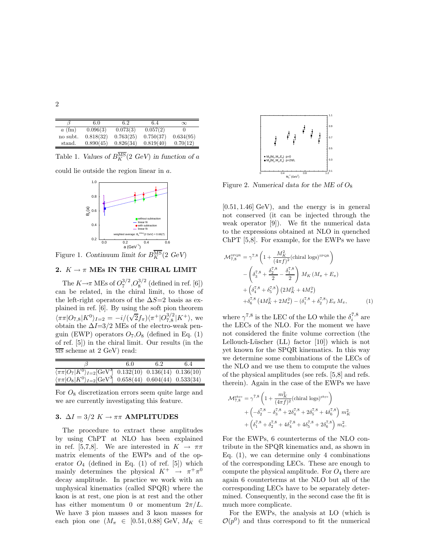|          | 6.0       | 6.2       | 6.4       | $\infty$  |
|----------|-----------|-----------|-----------|-----------|
| $a$ (fm) | 0.096(3)  | 0.073(3)  | 0.057(2)  |           |
| no subt. | 0.818(32) | 0.763(25) | 0.750(37) | 0.634(95) |
| stand.   | 0.890(45) | 0.826(34) | 0.819(40) | 0.70(12)  |

Table 1. Values of  $B_K^{\overline{\text{MS}}}(2 \text{ GeV})$  in function of a

could lie outside the region linear in a.



Figure 1. Continuum limit for  $B_K^{\overline{\text{MS}}}(2\text{ GeV})$ 

### 2.  $K \to \pi$  MEs IN THE CHIRAL LIMIT

The  $K \rightarrow \pi \text{ MEs of } O_7^{3/2}, O_8^{3/2}$  (defined in ref. [6]) can be related, in the chiral limit, to those of the left-right operators of the  $\Delta S=2$  basis as explained in ref. [6]. By using the soft pion theorem  $\langle \pi \pi | O_{7,8} | K^0 \rangle_{I=2} = -i/(\sqrt{2}f_\pi) \langle \pi^+ | O_{7,8}^{3/2} | K^+ \rangle$ , we obtain the  $\Delta I = 3/2$  MEs of the electro-weak penguin (EWP) operators  $O_7 O_8$  (defined in Eq. (1) of ref. [5]) in the chiral limit. Our results (in the  $\overline{\text{MS}}$  scheme at 2 GeV) read:

|                                                                                               | 6.0 | 6.2 | 6.4 |
|-----------------------------------------------------------------------------------------------|-----|-----|-----|
| $\langle \pi \pi   O_7   K^0 \rangle_{I=2}$ GeV <sup>3</sup> 0.132(10) 0.136(14) 0.136(10)    |     |     |     |
| $\langle \pi \pi   O_8   K^0 \rangle_{I=2}$ [GeV <sup>3</sup> ] 0.658(44) 0.604(44) 0.533(34) |     |     |     |

For  $O_8$  discretization errors seem quite large and we are currently investigating this feature.

### 3.  $\Delta I = 3/2 K \rightarrow \pi \pi$  AMPLITUDES

The procedure to extract these amplitudes by using ChPT at NLO has been explained in ref. [5,7,8]. We are interested in  $K \to \pi\pi$ matrix elements of the EWPs and of the operator  $O_4$  (defined in Eq. (1) of ref. [5]) which mainly determines the physical  $K^+ \rightarrow \pi^+ \pi^0$ decay amplitude. In practice we work with an unphysical kinematics (called SPQR) where the kaon is at rest, one pion is at rest and the other has either momentum 0 or momentum  $2\pi/L$ . We have 3 pion masses and 3 kaon masses for each pion one  $(M_\pi \in [0.51, 0.88] \text{ GeV}, M_K \in$ 



Figure 2. Numerical data for the ME of  $O_8$ 

 $[0.51, 1.46]$  GeV), and the energy is in general not conserved (it can be injected through the weak operator [9]). We fit the numerical data to the expressions obtained at NLO in quenched ChPT [5,8]. For example, for the EWPs we have

$$
\mathcal{M}_{7,8}^{\text{SPQR}} = \gamma^{7,8} \left( 1 + \frac{M_K^2}{(4\pi f)^2} (\text{chiral logs})^{\text{SPQR}} \right) \n- \left( \delta_3^{7,8} + \frac{\delta_2^{7,8}}{2} - \frac{\delta_1^{7,8}}{2} \right) M_K \left( M_\pi + E_\pi \right) \n+ \left( \delta_4^{7,8} + \delta_5^{7,8} \right) \left( 2M_K^2 + 4M_\pi^2 \right) \n+ \delta_6^{7,8} \left( 4M_K^2 + 2M_\pi^2 \right) - \left( \delta_1^{7,8} + \delta_2^{7,8} \right) E_\pi M_\pi, \tag{1}
$$

where  $\gamma^{7,8}$  is the LEC of the LO while the  $\delta^{7,8}_i$  are the LECs of the NLO. For the moment we have not considered the finite volume correction (the Lellouch-Lüscher  $(LL)$  factor  $[10]$ ) which is not yet known for the SPQR kinematics. In this way we determine some combinations of the LECs of the NLO and we use them to compute the values of the physical amplitudes (see refs. [5,8] and refs. therein). Again in the case of the EWPs we have

$$
\begin{split} \mathcal{M}_{7,8}^{\text{\tiny phys}} &= \gamma^{7,8} \left( 1 + \frac{m_K^2}{(4 \pi f)^2} (\text{chiral logs})^{\text{\tiny phys}} \right) \\ &+ \left( - \delta_2^{7,8} - \delta_3^{7,8} + 2 \delta_4^{7,8} + 2 \delta_5^{7,8} + 4 \delta_6^{7,8} \right) \, m_K^2 \\ &+ \left( \delta_1^{7,8} + \delta_2^{7,8} + 4 \delta_4^{7,8} + 4 \delta_5^{7,8} + 2 \delta_6^{7,8} \right) \, m_{\pi}^2. \end{split}
$$

For the EWPs, 6 counterterms of the NLO contribute in the SPQR kinematics and, as shown in Eq.  $(1)$ , we can determine only 4 combinations of the corresponding LECs. These are enough to compute the physical amplitude. For  $O_4$  there are again 6 counterterms at the NLO but all of the corresponding LECs have to be separately determined. Consequently, in the second case the fit is much more complicate.

For the EWPs, the analysis at LO (which is  $\mathcal{O}(p^0)$  and thus correspond to fit the numerical